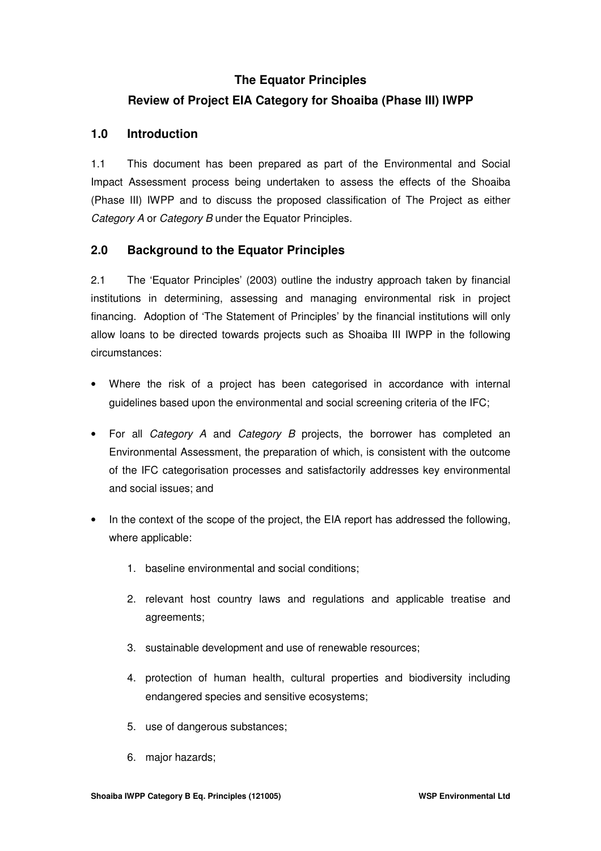# **The Equator Principles Review of Project EIA Category for Shoaiba (Phase III) IWPP**

## **1.0 Introduction**

1.1 This document has been prepared as part of the Environmental and Social Impact Assessment process being undertaken to assess the effects of the Shoaiba (Phase III) IWPP and to discuss the proposed classification of The Project as either *Category A* or *Category B* under the Equator Principles.

### **2.0 Background to the Equator Principles**

2.1 The 'Equator Principles' (2003) outline the industry approach taken by financial institutions in determining, assessing and managing environmental risk in project financing. Adoption of 'The Statement of Principles' by the financial institutions will only allow loans to be directed towards projects such as Shoaiba III IWPP in the following circumstances:

- Where the risk of a project has been categorised in accordance with internal guidelines based upon the environmental and social screening criteria of the IFC;
- For all *Category A* and *Category B* projects, the borrower has completed an Environmental Assessment, the preparation of which, is consistent with the outcome of the IFC categorisation processes and satisfactorily addresses key environmental and social issues; and
- In the context of the scope of the project, the EIA report has addressed the following, where applicable:
	- 1. baseline environmental and social conditions;
	- 2. relevant host country laws and regulations and applicable treatise and agreements;
	- 3. sustainable development and use of renewable resources;
	- 4. protection of human health, cultural properties and biodiversity including endangered species and sensitive ecosystems;
	- 5. use of dangerous substances;
	- 6. major hazards;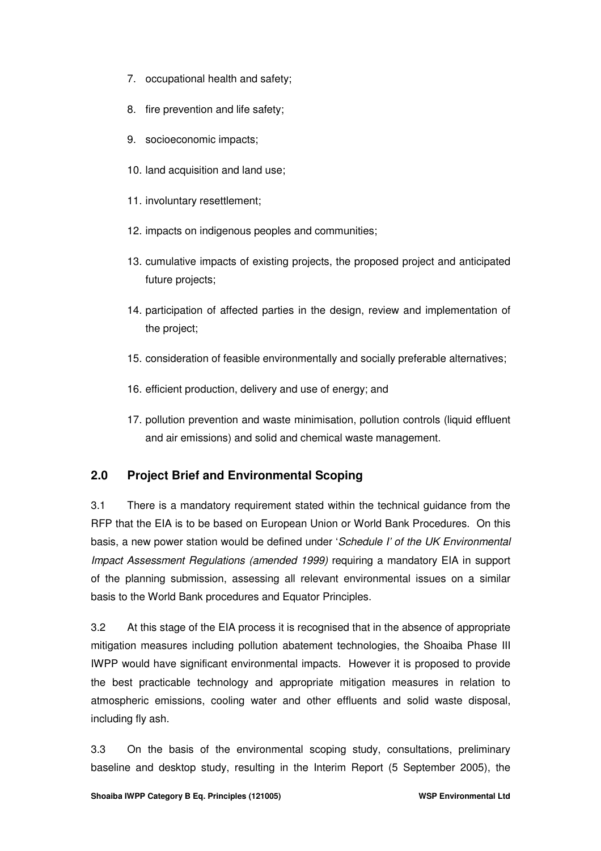- 7. occupational health and safety;
- 8. fire prevention and life safety;
- 9. socioeconomic impacts;
- 10. land acquisition and land use;
- 11. involuntary resettlement;
- 12. impacts on indigenous peoples and communities;
- 13. cumulative impacts of existing projects, the proposed project and anticipated future projects;
- 14. participation of affected parties in the design, review and implementation of the project;
- 15. consideration of feasible environmentally and socially preferable alternatives;
- 16. efficient production, delivery and use of energy; and
- 17. pollution prevention and waste minimisation, pollution controls (liquid effluent and air emissions) and solid and chemical waste management.

# **2.0 Project Brief and Environmental Scoping**

3.1 There is a mandatory requirement stated within the technical guidance from the RFP that the EIA is to be based on European Union or World Bank Procedures. On this basis, a new power station would be defined under '*Schedule I' of the UK Environmental Impact Assessment Regulations (amended 1999)* requiring a mandatory EIA in support of the planning submission, assessing all relevant environmental issues on a similar basis to the World Bank procedures and Equator Principles.

3.2 At this stage of the EIA process it is recognised that in the absence of appropriate mitigation measures including pollution abatement technologies, the Shoaiba Phase III IWPP would have significant environmental impacts. However it is proposed to provide the best practicable technology and appropriate mitigation measures in relation to atmospheric emissions, cooling water and other effluents and solid waste disposal, including fly ash.

3.3 On the basis of the environmental scoping study, consultations, preliminary baseline and desktop study, resulting in the Interim Report (5 September 2005), the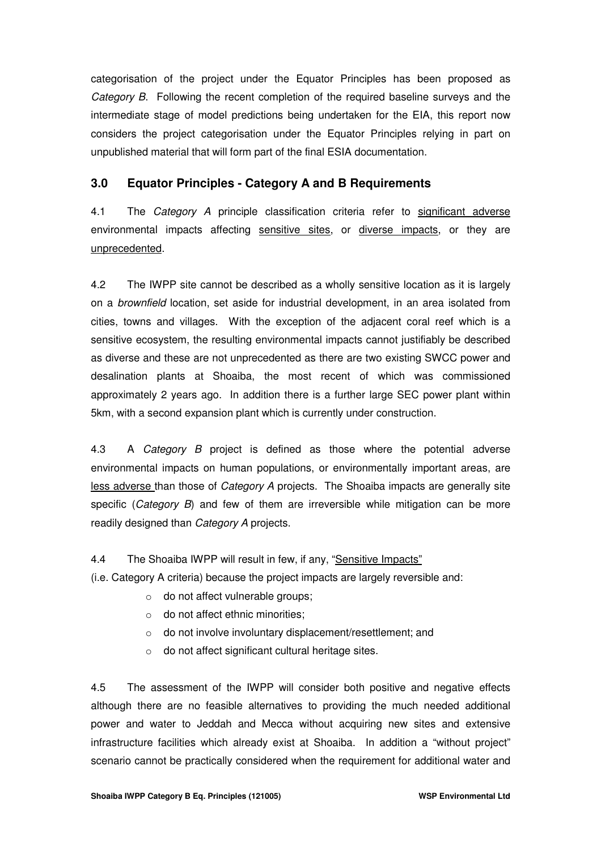categorisation of the project under the Equator Principles has been proposed as *Category B*. Following the recent completion of the required baseline surveys and the intermediate stage of model predictions being undertaken for the EIA, this report now considers the project categorisation under the Equator Principles relying in part on unpublished material that will form part of the final ESIA documentation.

# **3.0 Equator Principles - Category A and B Requirements**

4.1 The *Category A* principle classification criteria refer to significant adverse environmental impacts affecting sensitive sites, or diverse impacts, or they are unprecedented.

4.2 The IWPP site cannot be described as a wholly sensitive location as it is largely on a *brownfield* location, set aside for industrial development, in an area isolated from cities, towns and villages. With the exception of the adjacent coral reef which is a sensitive ecosystem, the resulting environmental impacts cannot justifiably be described as diverse and these are not unprecedented as there are two existing SWCC power and desalination plants at Shoaiba, the most recent of which was commissioned approximately 2 years ago. In addition there is a further large SEC power plant within 5km, with a second expansion plant which is currently under construction.

4.3 A *Category B* project is defined as those where the potential adverse environmental impacts on human populations, or environmentally important areas, are less adverse than those of *Category A* projects. The Shoaiba impacts are generally site specific (*Category B*) and few of them are irreversible while mitigation can be more readily designed than *Category A* projects.

#### 4.4 The Shoaiba IWPP will result in few, if any, "Sensitive Impacts"

(i.e. Category A criteria) because the project impacts are largely reversible and:

- o do not affect vulnerable groups;
- $\circ$  do not affect ethnic minorities;
- o do not involve involuntary displacement/resettlement; and
- o do not affect significant cultural heritage sites.

4.5 The assessment of the IWPP will consider both positive and negative effects although there are no feasible alternatives to providing the much needed additional power and water to Jeddah and Mecca without acquiring new sites and extensive infrastructure facilities which already exist at Shoaiba. In addition a "without project" scenario cannot be practically considered when the requirement for additional water and